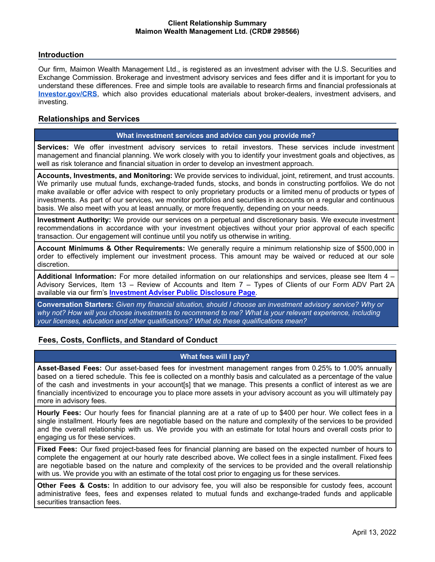### **Introduction**

Our firm, Maimon Wealth Management Ltd., is registered as an investment adviser with the U.S. Securities and Exchange Commission. Brokerage and investment advisory services and fees differ and it is important for you to understand these differences. Free and simple tools are available to research firms and financial professionals at **[Investor.gov/CRS](http://investor.gov/CRS)**, which also provides educational materials about broker-dealers, investment advisers, and investing.

## **Relationships and Services**

#### **What investment services and advice can you provide me?**

**Services:** We offer investment advisory services to retail investors. These services include investment management and financial planning. We work closely with you to identify your investment goals and objectives, as well as risk tolerance and financial situation in order to develop an investment approach.

**Accounts, Investments, and Monitoring:** We provide services to individual, joint, retirement, and trust accounts. We primarily use mutual funds, exchange-traded funds, stocks, and bonds in constructing portfolios. We do not make available or offer advice with respect to only proprietary products or a limited menu of products or types of investments. As part of our services, we monitor portfolios and securities in accounts on a regular and continuous basis. We also meet with you at least annually, or more frequently, depending on your needs.

**Investment Authority:** We provide our services on a perpetual and discretionary basis. We execute investment recommendations in accordance with your investment objectives without your prior approval of each specific transaction. Our engagement will continue until you notify us otherwise in writing.

**Account Minimums & Other Requirements:** We generally require a minimum relationship size of \$500,000 in order to effectively implement our investment process. This amount may be waived or reduced at our sole discretion.

**Additional Information:** For more detailed information on our relationships and services, please see Item 4 – Advisory Services, Item 13 – Review of Accounts and Item 7 – Types of Clients of our Form ADV Part 2A available via our firm's **[Investment](https://adviserinfo.sec.gov/firm/summary/298566) Adviser Public Disclosure Page**.

**Conversation Starters:** *Given my financial situation, should I choose an investment advisory service? Why or why not? How will you choose investments to recommend to me? What is your relevant experience, including your licenses, education and other qualifications? What do these qualifications mean?*

## **Fees, Costs, Conflicts, and Standard of Conduct**

### **What fees will I pay?**

**Asset-Based Fees:** Our asset-based fees for investment management ranges from 0.25% to 1.00% annually based on a tiered schedule. This fee is collected on a monthly basis and calculated as a percentage of the value of the cash and investments in your account[s] that we manage. This presents a conflict of interest as we are financially incentivized to encourage you to place more assets in your advisory account as you will ultimately pay more in advisory fees.

**Hourly Fees:** Our hourly fees for financial planning are at a rate of up to \$400 per hour. We collect fees in a single installment. Hourly fees are negotiable based on the nature and complexity of the services to be provided and the overall relationship with us. We provide you with an estimate for total hours and overall costs prior to engaging us for these services.

**Fixed Fees:** Our fixed project-based fees for financial planning are based on the expected number of hours to complete the engagement at our hourly rate described above**.** We collect fees in a single installment. Fixed fees are negotiable based on the nature and complexity of the services to be provided and the overall relationship with us. We provide you with an estimate of the total cost prior to engaging us for these services.

**Other Fees & Costs:** In addition to our advisory fee, you will also be responsible for custody fees, account administrative fees, fees and expenses related to mutual funds and exchange-traded funds and applicable securities transaction fees.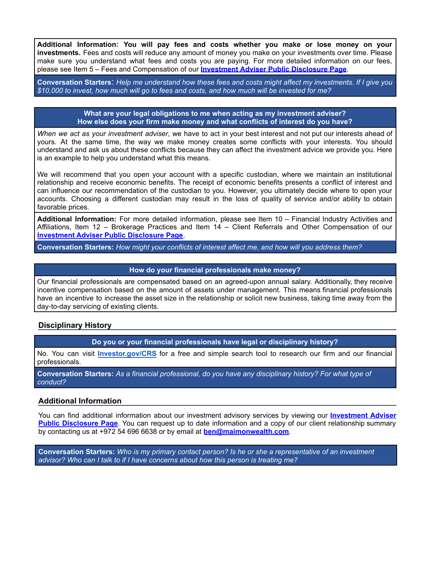**Additional Information: You will pay fees and costs whether you make or lose money on your investments.** Fees and costs will reduce any amount of money you make on your investments over time. Please make sure you understand what fees and costs you are paying. For more detailed information on our fees, please see Item 5 – Fees and Compensation of our **[Investment](https://adviserinfo.sec.gov/firm/summary/298566) Adviser Public Disclosure Page**.

Conversation Starters: Help me understand how these fees and costs might affect my investments. If I give you \$10,000 to invest, how much will go to fees and costs, and how much will be invested for me?

> **What are your legal obligations to me when acting as my investment adviser? How else does your firm make money and what conflicts of interest do you have?**

*When we act as your investment adviser*, we have to act in your best interest and not put our interests ahead of yours. At the same time, the way we make money creates some conflicts with your interests. You should understand and ask us about these conflicts because they can affect the investment advice we provide you. Here is an example to help you understand what this means.

We will recommend that you open your account with a specific custodian, where we maintain an institutional relationship and receive economic benefits. The receipt of economic benefits presents a conflict of interest and can influence our recommendation of the custodian to you. However, you ultimately decide where to open your accounts. Choosing a different custodian may result in the loss of quality of service and/or ability to obtain favorable prices.

**Additional Information:** For more detailed information, please see Item 10 – Financial Industry Activities and Affiliations, Item 12 – Brokerage Practices and Item 14 – Client Referrals and Other Compensation of our **[Investment](https://adviserinfo.sec.gov/firm/summary/298566) Adviser Public Disclosure Page**.

**Conversation Starters:** *How might your conflicts of interest affect me, and how will you address them?*

#### **How do your financial professionals make money?**

Our financial professionals are compensated based on an agreed-upon annual salary. Additionally, they receive incentive compensation based on the amount of assets under management. This means financial professionals have an incentive to increase the asset size in the relationship or solicit new business, taking time away from the day-to-day servicing of existing clients.

## **Disciplinary History**

**Do you or your financial professionals have legal or disciplinary history?**

No. You can visit **[Investor.gov/CRS](http://investor.gov/CRS)** for a free and simple search tool to research our firm and our financial professionals.

**Conversation Starters:** *As a financial professional, do you have any disciplinary history? For what type of conduct?*

#### **Additional Information**

You can find additional information about our investment advisory services by viewing our **[Investment](https://adviserinfo.sec.gov/firm/summary/298566) Adviser Public [Disclosure](https://adviserinfo.sec.gov/firm/summary/298566) Page**. You can request up to date information and a copy of our client relationship summary by contacting us at +972 54 696 6638 or by email at **[ben@maimonwealth.com](mailto:ben@maimonwealth.com)**.

**Conversation Starters:** *Who is my primary contact person? Is he or she a representative of an investment advisor? Who can I talk to if I have concerns about how this person is treating me?*